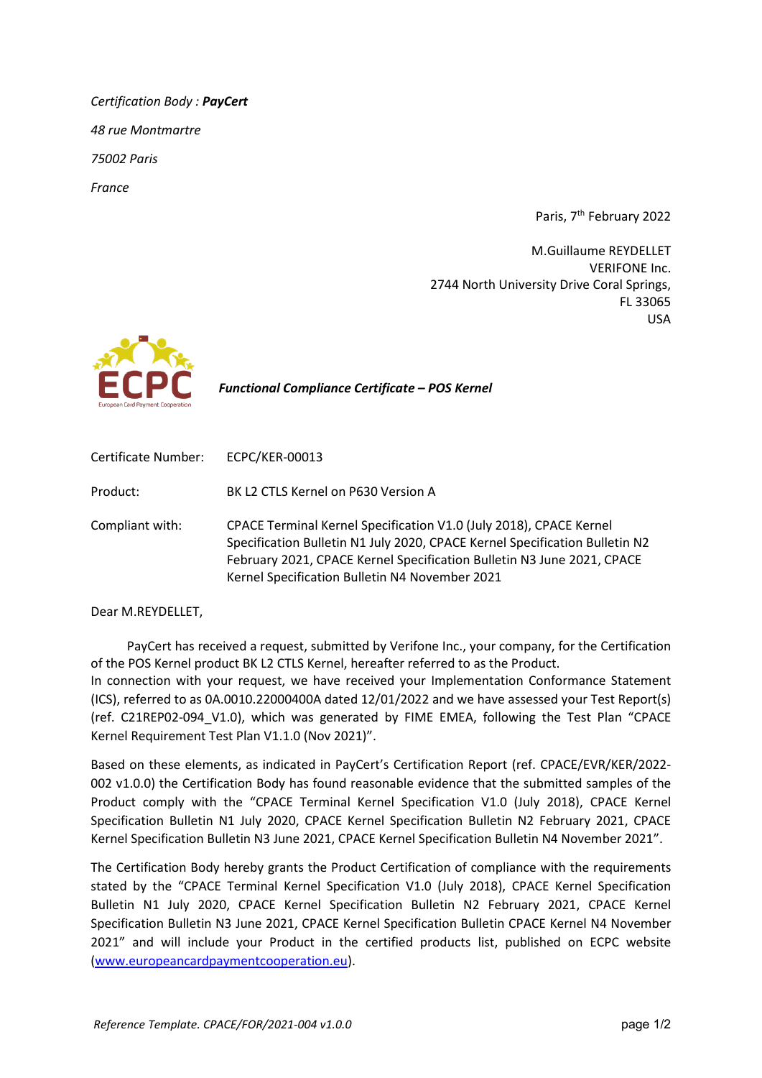*Certification Body : PayCert 48 rue Montmartre 75002 Paris France*

Paris, 7<sup>th</sup> February 2022

M.Guillaume REYDELLET VERIFONE Inc. 2744 North University Drive Coral Springs, FL 33065 USA



 *Functional Compliance Certificate – POS Kernel*

| Certificate Number: | <b>ECPC/KER-00013</b>                                                                                                                                                                                                                                                         |
|---------------------|-------------------------------------------------------------------------------------------------------------------------------------------------------------------------------------------------------------------------------------------------------------------------------|
| Product:            | BK L2 CTLS Kernel on P630 Version A                                                                                                                                                                                                                                           |
| Compliant with:     | CPACE Terminal Kernel Specification V1.0 (July 2018), CPACE Kernel<br>Specification Bulletin N1 July 2020, CPACE Kernel Specification Bulletin N2<br>February 2021, CPACE Kernel Specification Bulletin N3 June 2021, CPACE<br>Kernel Specification Bulletin N4 November 2021 |

Dear M.REYDELLET,

PayCert has received a request, submitted by Verifone Inc., your company, for the Certification of the POS Kernel product BK L2 CTLS Kernel, hereafter referred to as the Product. In connection with your request, we have received your Implementation Conformance Statement (ICS), referred to as 0A.0010.22000400A dated 12/01/2022 and we have assessed your Test Report(s) (ref. C21REP02-094\_V1.0), which was generated by FIME EMEA, following the Test Plan "CPACE Kernel Requirement Test Plan V1.1.0 (Nov 2021)".

Based on these elements, as indicated in PayCert's Certification Report (ref. CPACE/EVR/KER/2022- 002 v1.0.0) the Certification Body has found reasonable evidence that the submitted samples of the Product comply with the "CPACE Terminal Kernel Specification V1.0 (July 2018), CPACE Kernel Specification Bulletin N1 July 2020, CPACE Kernel Specification Bulletin N2 February 2021, CPACE Kernel Specification Bulletin N3 June 2021, CPACE Kernel Specification Bulletin N4 November 2021".

The Certification Body hereby grants the Product Certification of compliance with the requirements stated by the "CPACE Terminal Kernel Specification V1.0 (July 2018), CPACE Kernel Specification Bulletin N1 July 2020, CPACE Kernel Specification Bulletin N2 February 2021, CPACE Kernel Specification Bulletin N3 June 2021, CPACE Kernel Specification Bulletin CPACE Kernel N4 November 2021" and will include your Product in the certified products list, published on ECPC website [\(www.europeancardpaymentcooperation.eu\)](http://www.europeancardpaymentcooperation.eu/).